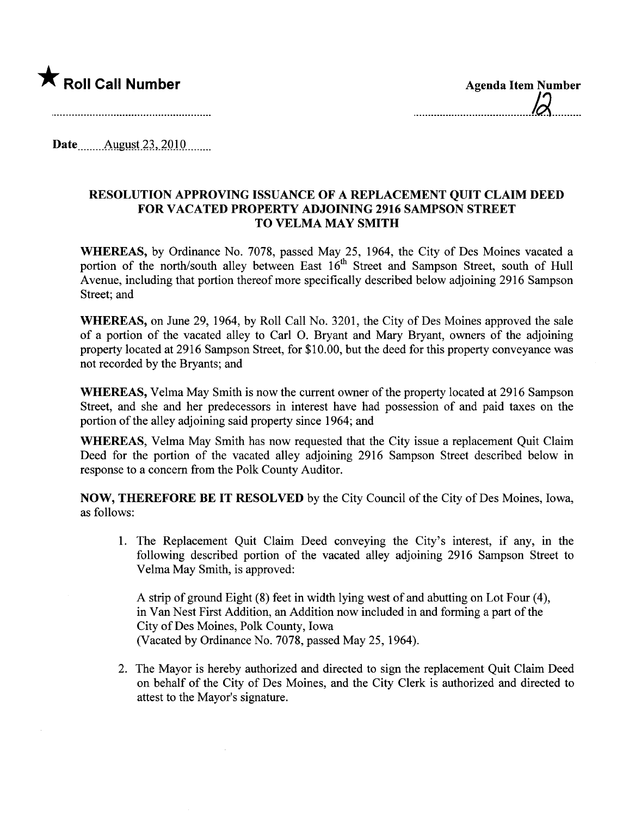

Date  $\frac{\text{August }23,2010}{\text{August }23,2010}$ 

## RESOLUTION APPROVING ISSUANCE OF A REPLACEMENT QUIT CLAIM DEED FOR VACATED PROPERTY ADJOINING 2916 SAMPSON STREET TO VELMA MAY SMITH

WHEREAS, by Ordinance No. 7078, passed May 25, 1964, the City of Des Moines vacated a portion of the north/south alley between East 16<sup>th</sup> Street and Sampson Street, south of Hull Avenue, including that portion thereof more specifically described below adjoining 2916 Sampson Street; and

WHEREAS, on June 29,1964, by Roll Call No. 3201, the City of Des Moines approved the sale of a portion of the vacated alley to Carl O. Bryant and Mary Bryant, owners of the adjoining property located at 2916 Sampson Street, for \$10.00, but the deed for this property conveyance was not recorded by the Bryants; and

WHEREAS, Velma May Smith is now the current owner of the property located at 2916 Sampson Street, and she and her predecessors in interest have had possession of and paid taxes on the portion of the alley adjoining said property since 1964; and

WHEREAS, Velma May Smith has now requested that the City issue a replacement Quit Claim Deed for the portion of the vacated alley adjoining 2916 Sampson Street described below in response to a concern from the Polk County Auditor.

NOW, THEREFORE BE IT RESOLVED by the City Council of the City of Des Moines, Iowa, as follows:

1. The Replacement Quit Claim Deed conveying the City's interest, if any, in the following described portion of the vacated alley adjoining 2916 Sampson Street to Velma May Smith, is approved:

A strip of ground Eight (8) feet in width lying west of and abutting on Lot Four (4), in Van Nest First Addition, an Addition now included in and forming a part of the City of Des Moines, Polk County, Iowa (Vacated by Ordinance No. 7078, passed May 25, 1964).

2. The Mayor is hereby authorized and directed to sign the replacement Quit Claim Deed on behalf of the City of Des Moines, and the City Clerk is authorized and directed to attest to the Mayor's signature.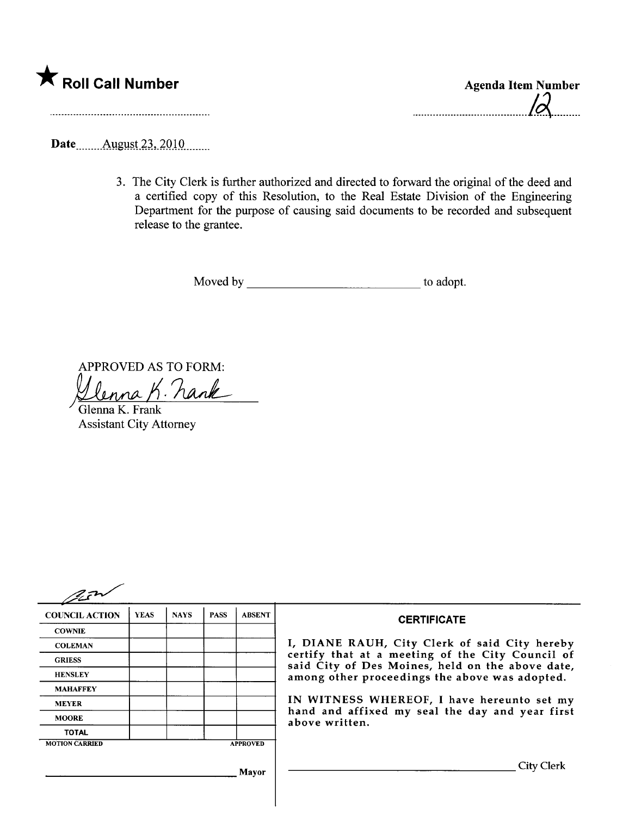| Roll Call Number |
|------------------|
|                  |

Agenda Item Number  $10$ 

Date **Manual** August 23, 2010

3. The City Clerk is further authorized and directed to forward the original of the deed and a certified copy of this Resolution, to the Real Estate Division of the Engineering Department for the purpose of causing said documents to be recorded and subsequent release to the grantee.

Moved by to adopt.

APPROVED AS TO FORM:<br>Ulenna K. hank  $\mathbb{R}^2$ 

Glenna K. Frank Assistant City Attorney

| arn                   |             |             |             |                                                                   |                                                                                                      |
|-----------------------|-------------|-------------|-------------|-------------------------------------------------------------------|------------------------------------------------------------------------------------------------------|
| <b>COUNCIL ACTION</b> | <b>YEAS</b> | <b>NAYS</b> | <b>PASS</b> | <b>ABSENT</b>                                                     | <b>CERTIFICATE</b>                                                                                   |
| <b>COWNIE</b>         |             |             |             |                                                                   |                                                                                                      |
| <b>COLEMAN</b>        |             |             |             |                                                                   | I, DIANE RAUH, City Clerk of said City hereby                                                        |
| <b>GRIESS</b>         |             |             |             |                                                                   | certify that at a meeting of the City Council of<br>said City of Des Moines, held on the above date, |
| <b>HENSLEY</b>        |             |             |             |                                                                   | among other proceedings the above was adopted.                                                       |
| <b>MAHAFFEY</b>       |             |             |             |                                                                   |                                                                                                      |
| <b>MEYER</b>          |             |             |             |                                                                   | IN WITNESS WHEREOF, I have hereunto set my                                                           |
| <b>MOORE</b>          |             |             |             | hand and affixed my seal the day and year first<br>above written. |                                                                                                      |
| <b>TOTAL</b>          |             |             |             |                                                                   |                                                                                                      |
| <b>MOTION CARRIED</b> |             |             |             | <b>APPROVED</b>                                                   |                                                                                                      |
|                       |             |             |             | <b>Mayor</b>                                                      | <b>City Clerk</b>                                                                                    |